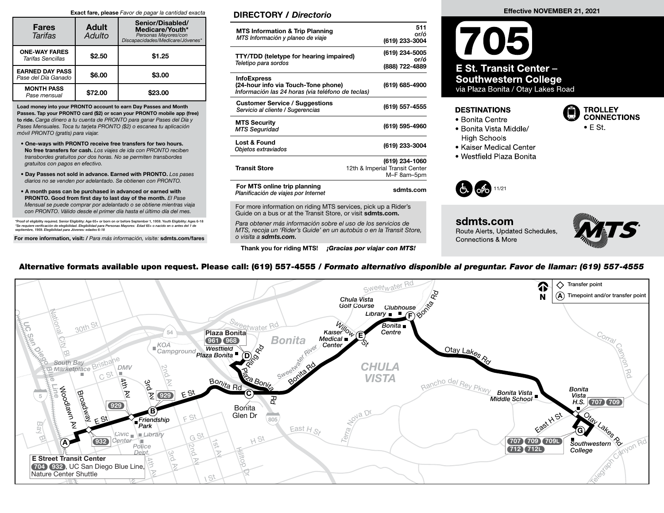#### Exact fare, please Favor de pagar la cantidad exacta

| <b>Fares</b><br>Tarifas                       | <b>Adult</b><br>Adulto | Senior/Disabled/<br>Medicare/Youth*<br>Personas Mayores/con<br>Discapacidades/Medicare/Jóvenes* |  |  |  |  |
|-----------------------------------------------|------------------------|-------------------------------------------------------------------------------------------------|--|--|--|--|
| <b>ONE-WAY FARES</b><br>Tarifas Sencillas     | \$2.50                 | \$1.25                                                                                          |  |  |  |  |
| <b>EARNED DAY PASS</b><br>Pase del Día Ganado | \$6.00                 | \$3.00                                                                                          |  |  |  |  |
| <b>MONTH PASS</b><br>Pase mensual             | \$72.00                | \$23.00                                                                                         |  |  |  |  |

Load money into your PRONTO account to earn Day Passes and Month Passes. Tap your PRONTO card (\$2) or scan your PRONTO mobile app (free) to ride. Carga dinero a tu cuenta de PRONTO para ganar Pases del Día y Pases Mensuales. Toca tu tarjeta PRONTO (\$2) o escanea tu aplicación móvil PRONTO (gratis) para viajar.

- One-ways with PRONTO receive free transfers for two hours. No free transfers for cash. Los viajes de ida con PRONTO reciben transbordes gratuitos por dos horas. No se permiten transbordes gratuitos con pagos en efectivo.
- Day Passes not sold in advance. Earned with PRONTO. Los pases diarios no se venden por adelantado. Se obtienen con PRONTO.
- A month pass can be purchased in advanced or earned with PRONTO. Good from first day to last day of the month. El Pase Mensual se puede comprar por adelantado o se obtiene mientras viaja con PRONTO. Válido desde el primer día hasta el último día del mes.

\*Proof of eligibility required. Senior Eligibility: Age 65+ or born on or before September 1, 1959. Youth Eligibility: Ages 6-18<br>\*Se requiere verificación de elegibilidad. Elegibilidad para Personas Mayores: Edad 65+ o na

For more information, visit: / Para más información, visite: sdmts.com/fares

### DIRECTORY / Directorio

| <b>MTS Information &amp; Trip Planning</b><br>MTS Información y planeo de viaje                                | 511<br>or/ó<br>(619) 233-3004                                   |
|----------------------------------------------------------------------------------------------------------------|-----------------------------------------------------------------|
| <b>TTY/TDD (teletype for hearing impaired)</b><br>Teletipo para sordos                                         | (619) 234-5005<br>or/ó<br>(888) 722-4889                        |
| <b>InfoExpress</b><br>(24-hour info via Touch-Tone phone)<br>Información las 24 horas (via teléfono de teclas) | (619) 685-4900                                                  |
| <b>Customer Service / Suggestions</b><br>Servicio al cliente / Sugerencias                                     | (619) 557-4555                                                  |
| <b>MTS Security</b><br><b>MTS Seguridad</b>                                                                    | (619) 595-4960                                                  |
| Lost & Found<br>Objetos extraviados                                                                            | (619) 233-3004                                                  |
| <b>Transit Store</b>                                                                                           | (619) 234-1060<br>12th & Imperial Transit Center<br>M-F 8am-5pm |
| For MTS online trip planning<br>Planificación de viajes por Internet                                           | sdmts.com                                                       |
|                                                                                                                |                                                                 |

For more information on riding MTS services, pick up a Rider's Guide on a bus or at the Transit Store, or visit sdmts.com.

Para obtener más información sobre el uso de los servicios de MTS, recoja un 'Rider's Guide' en un autobús o en la Transit Store, o visita a sdmts.com.

Thank you for riding MTS! **¡Gracias por viajar con MTS!** 

# 705 **E St. Transit Center -Southwestern College** via Plaza Bonita / Otay Lakes Road

#### **DESTINATIONS**

- Bonita Centre
- **High Schools**
- **TROLLEY CONNECTIONS**
- · Bonita Vista Middle/



• Kaiser Medical Center · Westfield Plaza Bonita



sdmts.com Route Alerts, Updated Schedules, Connections & More



## Alternative formats available upon request. Please call: (619) 557-4555 / Formato alternativo disponible al preguntar. Favor de llamar: (619) 557-4555



Effective NOVEMBER 21, 2021